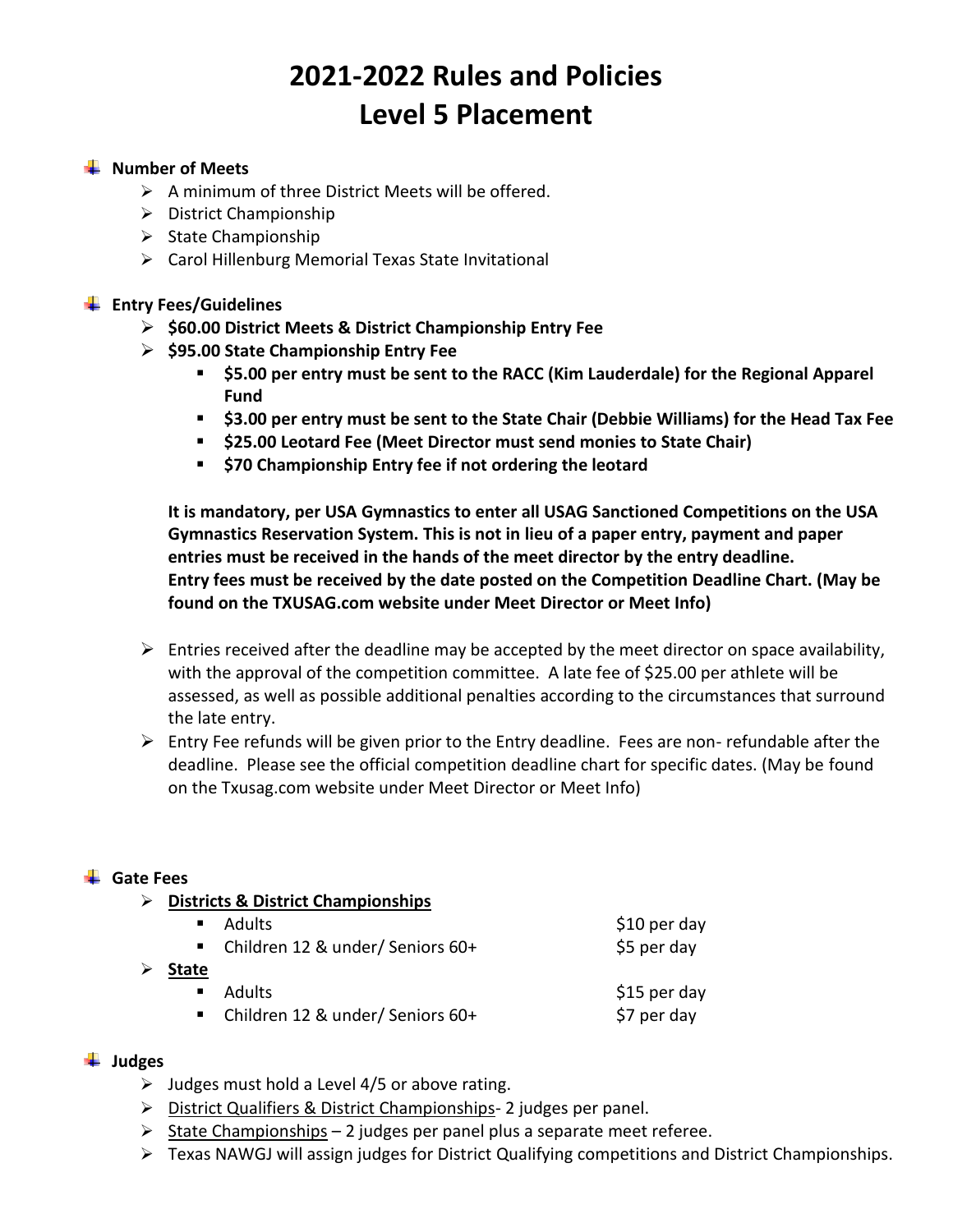# **2021-2022 Rules and Policies Level 5 Placement**

#### **WE** Number of Meets

- ➢ A minimum of three District Meets will be offered.
- ➢ District Championship
- ➢ State Championship
- ➢ Carol Hillenburg Memorial Texas State Invitational

#### **Entry Fees/Guidelines**

- ➢ **\$60.00 District Meets & District Championship Entry Fee**
- ➢ **\$95.00 State Championship Entry Fee**
	- **\$5.00 per entry must be sent to the RACC (Kim Lauderdale) for the Regional Apparel Fund**
	- **\$3.00 per entry must be sent to the State Chair (Debbie Williams) for the Head Tax Fee**
	- **\$25.00 Leotard Fee (Meet Director must send monies to State Chair)**
	- **\$70 Championship Entry fee if not ordering the leotard**

**It is mandatory, per USA Gymnastics to enter all USAG Sanctioned Competitions on the USA Gymnastics Reservation System. This is not in lieu of a paper entry, payment and paper entries must be received in the hands of the meet director by the entry deadline. Entry fees must be received by the date posted on the Competition Deadline Chart. (May be found on the TXUSAG.com website under Meet Director or Meet Info)**

- $\triangleright$  Entries received after the deadline may be accepted by the meet director on space availability, with the approval of the competition committee. A late fee of \$25.00 per athlete will be assessed, as well as possible additional penalties according to the circumstances that surround the late entry.
- $\triangleright$  Entry Fee refunds will be given prior to the Entry deadline. Fees are non- refundable after the deadline. Please see the official competition deadline chart for specific dates. (May be found on the Txusag.com website under Meet Director or Meet Info)

#### **Gate Fees**

➢ **Districts & District Championships**

|       | ■ Adults                           | \$10 per day |
|-------|------------------------------------|--------------|
|       | ■ Children 12 & under/ Seniors 60+ | \$5 per day  |
| $C++$ |                                    |              |

- ➢ **State**
	- Adults Sample and the South of the Sample Sample Sample Sample Sample Sample Sample Sample Sample Sample Sample ■ Children 12 & under/ Seniors 60+ \$7 per day

- **Judges**
	- $\triangleright$  Judges must hold a Level 4/5 or above rating.
	- ➢ District Qualifiers & District Championships- 2 judges per panel.
	- $\triangleright$  State Championships 2 judges per panel plus a separate meet referee.
	- ➢ Texas NAWGJ will assign judges for District Qualifying competitions and District Championships.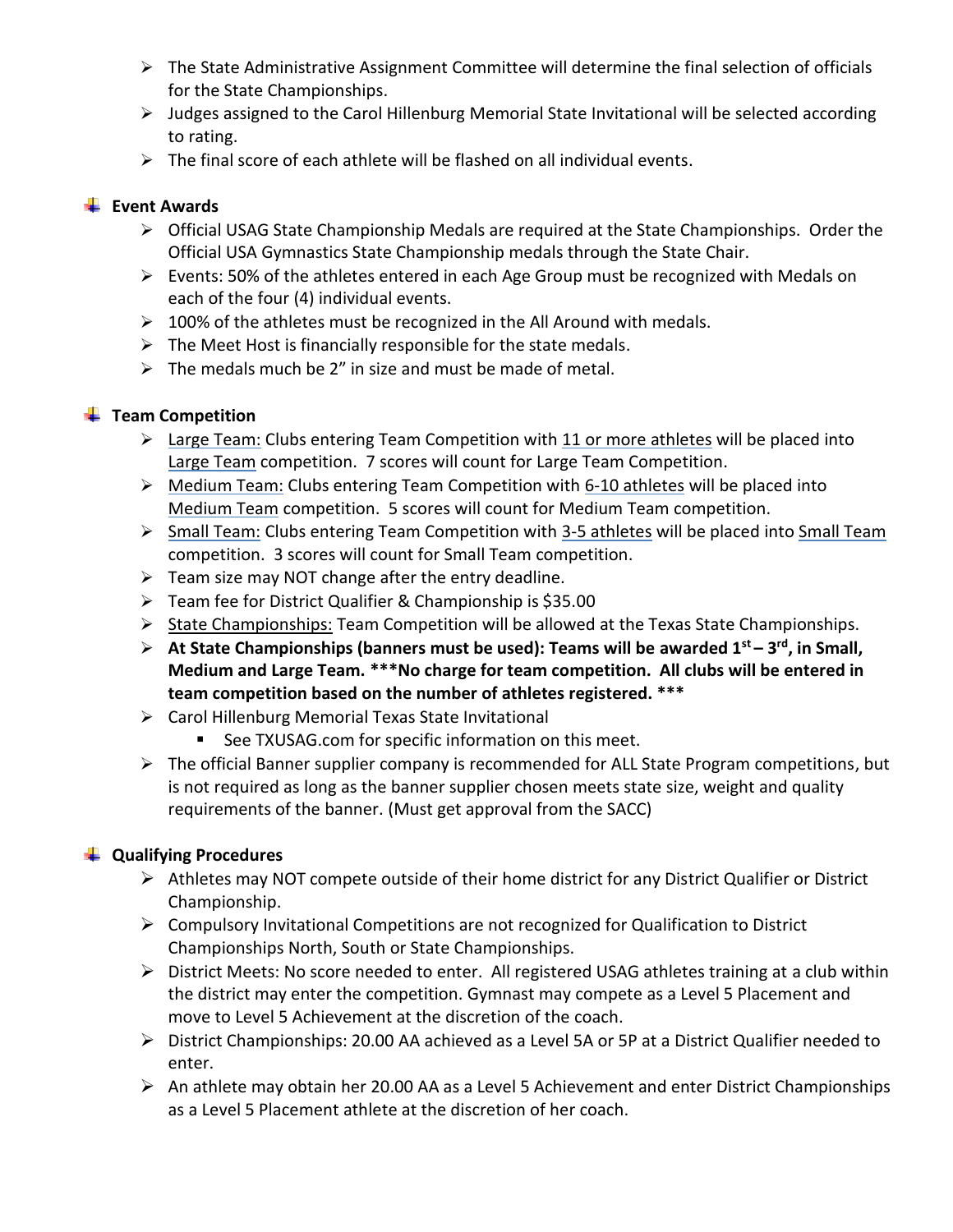- ➢ The State Administrative Assignment Committee will determine the final selection of officials for the State Championships.
- $\triangleright$  Judges assigned to the Carol Hillenburg Memorial State Invitational will be selected according to rating.
- $\triangleright$  The final score of each athlete will be flashed on all individual events.

#### **Event Awards**

- ➢ Official USAG State Championship Medals are required at the State Championships. Order the Official USA Gymnastics State Championship medals through the State Chair.
- ➢ Events: 50% of the athletes entered in each Age Group must be recognized with Medals on each of the four (4) individual events.
- ➢ 100% of the athletes must be recognized in the All Around with medals.
- $\triangleright$  The Meet Host is financially responsible for the state medals.
- $\triangleright$  The medals much be 2" in size and must be made of metal.

### $\frac{1}{2}$  Team Competition

- $\triangleright$  Large Team: Clubs entering Team Competition with 11 or more athletes will be placed into Large Team competition. 7 scores will count for Large Team Competition.
- ➢ Medium Team: Clubs entering Team Competition with 6-10 athletes will be placed into Medium Team competition. 5 scores will count for Medium Team competition.
- ➢ Small Team: Clubs entering Team Competition with 3-5 athletes will be placed into Small Team competition. 3 scores will count for Small Team competition.
- $\triangleright$  Team size may NOT change after the entry deadline.
- ➢ Team fee for District Qualifier & Championship is \$35.00
- ➢ State Championships: Team Competition will be allowed at the Texas State Championships.
- ➢ **At State Championships (banners must be used): Teams will be awarded 1st – 3 rd, in Small, Medium and Large Team. \*\*\*No charge for team competition. All clubs will be entered in team competition based on the number of athletes registered. \*\*\***
- ➢ Carol Hillenburg Memorial Texas State Invitational
	- See TXUSAG.com for specific information on this meet.
- ➢ The official Banner supplier company is recommended for ALL State Program competitions, but is not required as long as the banner supplier chosen meets state size, weight and quality requirements of the banner. (Must get approval from the SACC)

### **Qualifying Procedures**

- ➢ Athletes may NOT compete outside of their home district for any District Qualifier or District Championship.
- $\triangleright$  Compulsory Invitational Competitions are not recognized for Qualification to District Championships North, South or State Championships.
- $\triangleright$  District Meets: No score needed to enter. All registered USAG athletes training at a club within the district may enter the competition. Gymnast may compete as a Level 5 Placement and move to Level 5 Achievement at the discretion of the coach.
- ➢ District Championships: 20.00 AA achieved as a Level 5A or 5P at a District Qualifier needed to enter.
- ➢ An athlete may obtain her 20.00 AA as a Level 5 Achievement and enter District Championships as a Level 5 Placement athlete at the discretion of her coach.